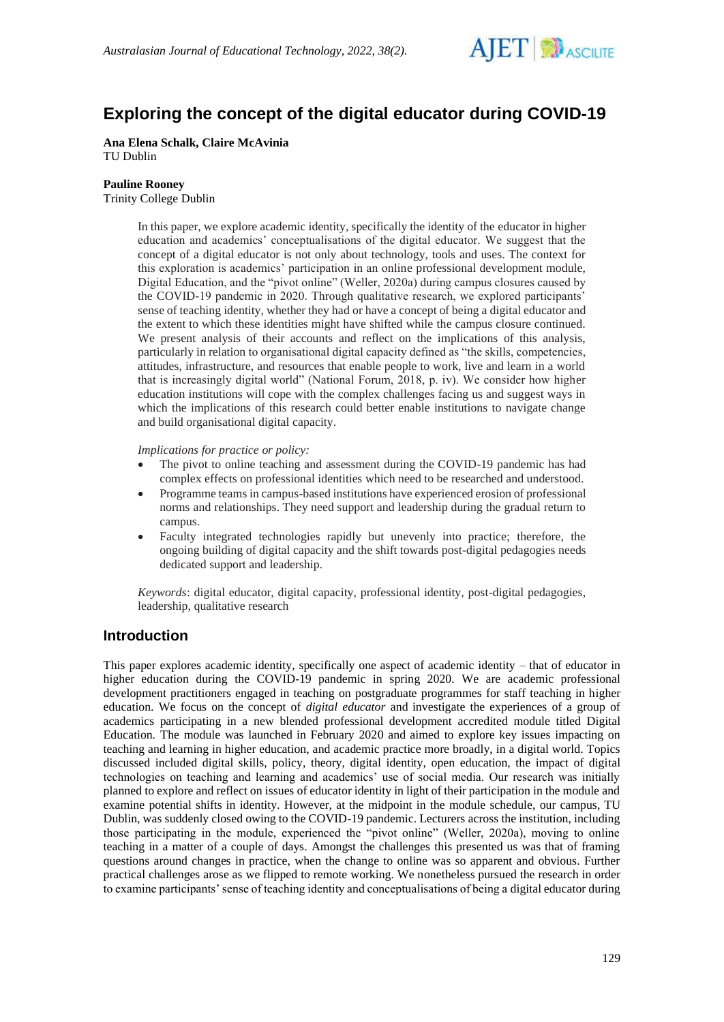

# **Exploring the concept of the digital educator during COVID-19**

**Ana Elena Schalk, Claire McAvinia** TU Dublin

#### **Pauline Rooney**

Trinity College Dublin

In this paper, we explore academic identity, specifically the identity of the educator in higher education and academics' conceptualisations of the digital educator. We suggest that the concept of a digital educator is not only about technology, tools and uses. The context for this exploration is academics' participation in an online professional development module, Digital Education, and the "pivot online" (Weller, 2020a) during campus closures caused by the COVID-19 pandemic in 2020. Through qualitative research, we explored participants' sense of teaching identity, whether they had or have a concept of being a digital educator and the extent to which these identities might have shifted while the campus closure continued. We present analysis of their accounts and reflect on the implications of this analysis, particularly in relation to organisational digital capacity defined as "the skills, competencies, attitudes, infrastructure, and resources that enable people to work, live and learn in a world that is increasingly digital world" (National Forum, 2018, p. iv). We consider how higher education institutions will cope with the complex challenges facing us and suggest ways in which the implications of this research could better enable institutions to navigate change and build organisational digital capacity.

*Implications for practice or policy:*

- The pivot to online teaching and assessment during the COVID-19 pandemic has had complex effects on professional identities which need to be researched and understood.
- Programme teams in campus-based institutions have experienced erosion of professional norms and relationships. They need support and leadership during the gradual return to campus.
- Faculty integrated technologies rapidly but unevenly into practice; therefore, the ongoing building of digital capacity and the shift towards post-digital pedagogies needs dedicated support and leadership.

*Keywords*: digital educator, digital capacity, professional identity, post-digital pedagogies, leadership, qualitative research

### **Introduction**

This paper explores academic identity, specifically one aspect of academic identity – that of educator in higher education during the COVID-19 pandemic in spring 2020. We are academic professional development practitioners engaged in teaching on postgraduate programmes for staff teaching in higher education. We focus on the concept of *digital educator* and investigate the experiences of a group of academics participating in a new blended professional development accredited module titled Digital Education*.* The module was launched in February 2020 and aimed to explore key issues impacting on teaching and learning in higher education, and academic practice more broadly, in a digital world. Topics discussed included digital skills, policy, theory, digital identity, open education, the impact of digital technologies on teaching and learning and academics' use of social media. Our research was initially planned to explore and reflect on issues of educator identity in light of their participation in the module and examine potential shifts in identity. However, at the midpoint in the module schedule, our campus, TU Dublin, was suddenly closed owing to the COVID-19 pandemic. Lecturers across the institution, including those participating in the module, experienced the "pivot online" (Weller, 2020a), moving to online teaching in a matter of a couple of days. Amongst the challenges this presented us was that of framing questions around changes in practice, when the change to online was so apparent and obvious. Further practical challenges arose as we flipped to remote working. We nonetheless pursued the research in order to examine participants' sense of teaching identity and conceptualisations of being a digital educator during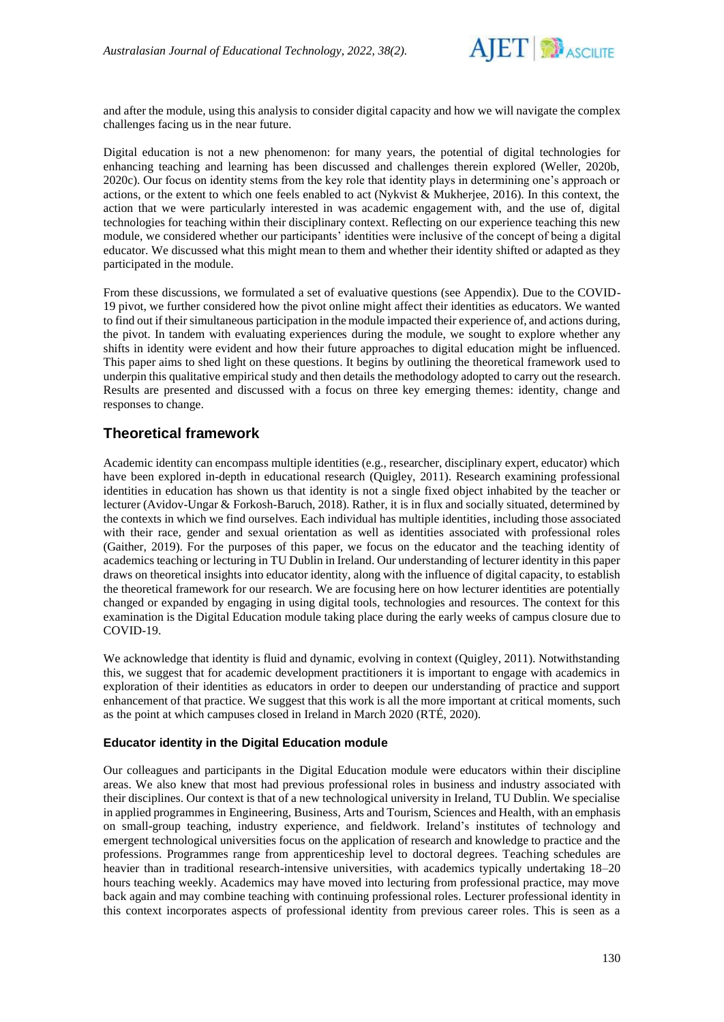

and after the module, using this analysis to consider digital capacity and how we will navigate the complex challenges facing us in the near future.

Digital education is not a new phenomenon: for many years, the potential of digital technologies for enhancing teaching and learning has been discussed and challenges therein explored (Weller, 2020b, 2020c). Our focus on identity stems from the key role that identity plays in determining one's approach or actions, or the extent to which one feels enabled to act (Nykvist & Mukherjee, 2016). In this context, the action that we were particularly interested in was academic engagement with, and the use of, digital technologies for teaching within their disciplinary context. Reflecting on our experience teaching this new module, we considered whether our participants' identities were inclusive of the concept of being a digital educator. We discussed what this might mean to them and whether their identity shifted or adapted as they participated in the module.

From these discussions, we formulated a set of evaluative questions (see Appendix). Due to the COVID-19 pivot, we further considered how the pivot online might affect their identities as educators. We wanted to find out if their simultaneous participation in the module impacted their experience of, and actions during, the pivot. In tandem with evaluating experiences during the module, we sought to explore whether any shifts in identity were evident and how their future approaches to digital education might be influenced. This paper aims to shed light on these questions. It begins by outlining the theoretical framework used to underpin this qualitative empirical study and then details the methodology adopted to carry out the research. Results are presented and discussed with a focus on three key emerging themes: identity, change and responses to change.

## **Theoretical framework**

Academic identity can encompass multiple identities (e.g., researcher, disciplinary expert, educator) which have been explored in-depth in educational research (Quigley, 2011). Research examining professional identities in education has shown us that identity is not a single fixed object inhabited by the teacher or lecturer (Avidov-Ungar & Forkosh-Baruch, 2018). Rather, it is in flux and socially situated, determined by the contexts in which we find ourselves. Each individual has multiple identities, including those associated with their race, gender and sexual orientation as well as identities associated with professional roles (Gaither, 2019). For the purposes of this paper, we focus on the educator and the teaching identity of academics teaching or lecturing in TU Dublin in Ireland. Our understanding of lecturer identity in this paper draws on theoretical insights into educator identity, along with the influence of digital capacity, to establish the theoretical framework for our research. We are focusing here on how lecturer identities are potentially changed or expanded by engaging in using digital tools, technologies and resources. The context for this examination is the Digital Education module taking place during the early weeks of campus closure due to COVID-19.

We acknowledge that identity is fluid and dynamic, evolving in context (Quigley, 2011). Notwithstanding this, we suggest that for academic development practitioners it is important to engage with academics in exploration of their identities as educators in order to deepen our understanding of practice and support enhancement of that practice. We suggest that this work is all the more important at critical moments, such as the point at which campuses closed in Ireland in March 2020 (RTÉ, 2020).

### **Educator identity in the Digital Education module**

Our colleagues and participants in the Digital Education module were educators within their discipline areas. We also knew that most had previous professional roles in business and industry associated with their disciplines. Our context is that of a new technological university in Ireland, TU Dublin. We specialise in applied programmes in Engineering, Business, Arts and Tourism, Sciences and Health, with an emphasis on small-group teaching, industry experience, and fieldwork. Ireland's institutes of technology and emergent technological universities focus on the application of research and knowledge to practice and the professions. Programmes range from apprenticeship level to doctoral degrees. Teaching schedules are heavier than in traditional research-intensive universities, with academics typically undertaking 18–20 hours teaching weekly. Academics may have moved into lecturing from professional practice, may move back again and may combine teaching with continuing professional roles. Lecturer professional identity in this context incorporates aspects of professional identity from previous career roles. This is seen as a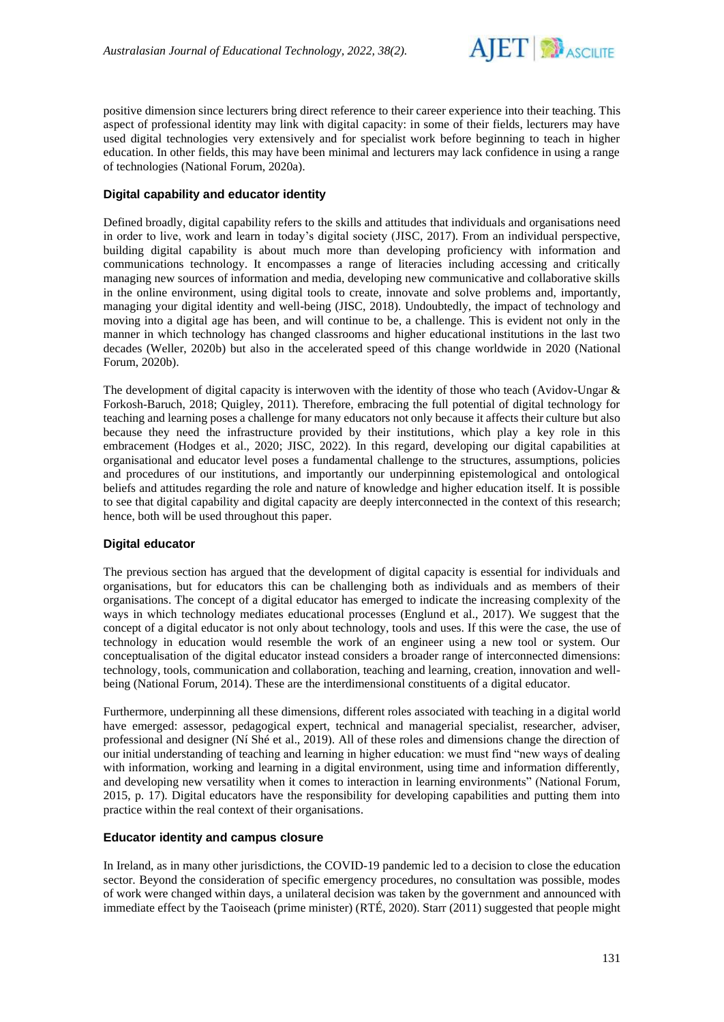

positive dimension since lecturers bring direct reference to their career experience into their teaching. This aspect of professional identity may link with digital capacity: in some of their fields, lecturers may have used digital technologies very extensively and for specialist work before beginning to teach in higher education. In other fields, this may have been minimal and lecturers may lack confidence in using a range of technologies (National Forum, 2020a).

### **Digital capability and educator identity**

Defined broadly, digital capability refers to the skills and attitudes that individuals and organisations need in order to live, work and learn in today's digital society (JISC, 2017). From an individual perspective, building digital capability is about much more than developing proficiency with information and communications technology. It encompasses a range of literacies including accessing and critically managing new sources of information and media, developing new communicative and collaborative skills in the online environment, using digital tools to create, innovate and solve problems and, importantly, managing your digital identity and well-being (JISC, 2018). Undoubtedly, the impact of technology and moving into a digital age has been, and will continue to be, a challenge. This is evident not only in the manner in which technology has changed classrooms and higher educational institutions in the last two decades (Weller, 2020b) but also in the accelerated speed of this change worldwide in 2020 (National Forum, 2020b).

The development of digital capacity is interwoven with the identity of those who teach (Avidov-Ungar & Forkosh-Baruch, 2018; Quigley, 2011). Therefore, embracing the full potential of digital technology for teaching and learning poses a challenge for many educators not only because it affects their culture but also because they need the infrastructure provided by their institutions, which play a key role in this embracement (Hodges et al., 2020; JISC, 2022). In this regard, developing our digital capabilities at organisational and educator level poses a fundamental challenge to the structures, assumptions, policies and procedures of our institutions, and importantly our underpinning epistemological and ontological beliefs and attitudes regarding the role and nature of knowledge and higher education itself. It is possible to see that digital capability and digital capacity are deeply interconnected in the context of this research; hence, both will be used throughout this paper.

### **Digital educator**

The previous section has argued that the development of digital capacity is essential for individuals and organisations, but for educators this can be challenging both as individuals and as members of their organisations. The concept of a digital educator has emerged to indicate the increasing complexity of the ways in which technology mediates educational processes (Englund et al., 2017). We suggest that the concept of a digital educator is not only about technology, tools and uses. If this were the case, the use of technology in education would resemble the work of an engineer using a new tool or system. Our conceptualisation of the digital educator instead considers a broader range of interconnected dimensions: technology, tools, communication and collaboration, teaching and learning, creation, innovation and wellbeing (National Forum, 2014). These are the interdimensional constituents of a digital educator.

Furthermore, underpinning all these dimensions, different roles associated with teaching in a digital world have emerged: assessor, pedagogical expert, technical and managerial specialist, researcher, adviser, professional and designer (Ní Shé et al., 2019). All of these roles and dimensions change the direction of our initial understanding of teaching and learning in higher education: we must find "new ways of dealing with information, working and learning in a digital environment, using time and information differently, and developing new versatility when it comes to interaction in learning environments" (National Forum, 2015, p. 17). Digital educators have the responsibility for developing capabilities and putting them into practice within the real context of their organisations.

### **Educator identity and campus closure**

In Ireland, as in many other jurisdictions, the COVID-19 pandemic led to a decision to close the education sector. Beyond the consideration of specific emergency procedures, no consultation was possible, modes of work were changed within days, a unilateral decision was taken by the government and announced with immediate effect by the Taoiseach (prime minister) (RTÉ, 2020). Starr (2011) suggested that people might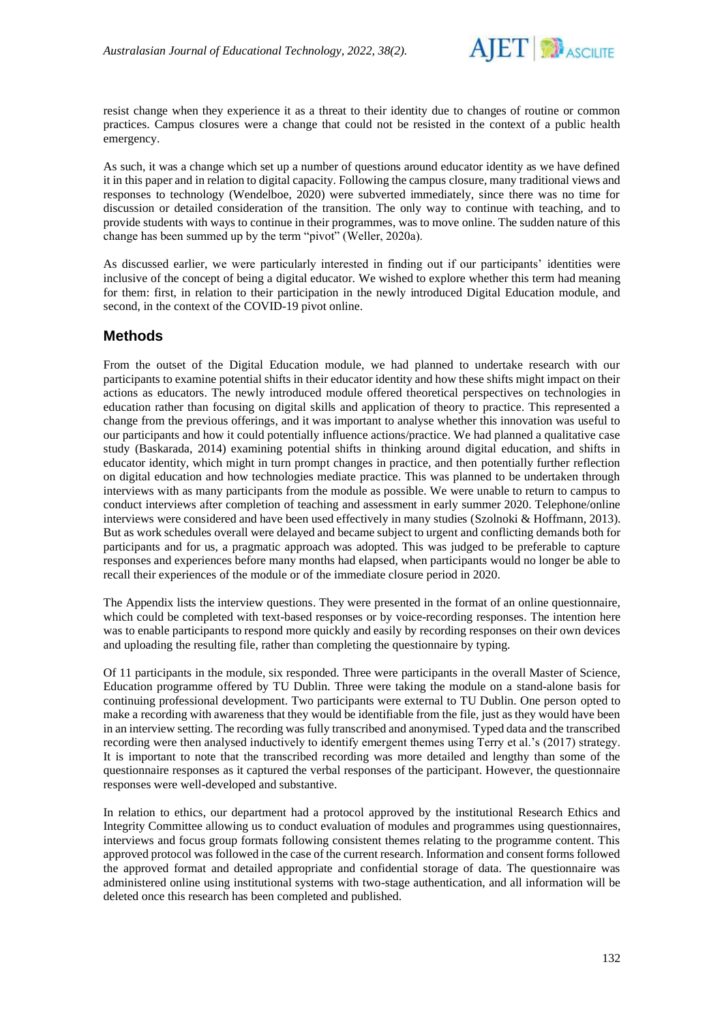

resist change when they experience it as a threat to their identity due to changes of routine or common practices. Campus closures were a change that could not be resisted in the context of a public health emergency.

As such, it was a change which set up a number of questions around educator identity as we have defined it in this paper and in relation to digital capacity. Following the campus closure, many traditional views and responses to technology (Wendelboe, 2020) were subverted immediately, since there was no time for discussion or detailed consideration of the transition. The only way to continue with teaching, and to provide students with ways to continue in their programmes, was to move online. The sudden nature of this change has been summed up by the term "pivot" (Weller, 2020a).

As discussed earlier, we were particularly interested in finding out if our participants' identities were inclusive of the concept of being a digital educator. We wished to explore whether this term had meaning for them: first, in relation to their participation in the newly introduced Digital Education module, and second, in the context of the COVID-19 pivot online.

### **Methods**

From the outset of the Digital Education module, we had planned to undertake research with our participants to examine potential shifts in their educator identity and how these shifts might impact on their actions as educators. The newly introduced module offered theoretical perspectives on technologies in education rather than focusing on digital skills and application of theory to practice. This represented a change from the previous offerings, and it was important to analyse whether this innovation was useful to our participants and how it could potentially influence actions/practice. We had planned a qualitative case study (Baskarada, 2014) examining potential shifts in thinking around digital education, and shifts in educator identity, which might in turn prompt changes in practice, and then potentially further reflection on digital education and how technologies mediate practice. This was planned to be undertaken through interviews with as many participants from the module as possible. We were unable to return to campus to conduct interviews after completion of teaching and assessment in early summer 2020. Telephone/online interviews were considered and have been used effectively in many studies (Szolnoki & Hoffmann, 2013). But as work schedules overall were delayed and became subject to urgent and conflicting demands both for participants and for us, a pragmatic approach was adopted. This was judged to be preferable to capture responses and experiences before many months had elapsed, when participants would no longer be able to recall their experiences of the module or of the immediate closure period in 2020.

The Appendix lists the interview questions. They were presented in the format of an online questionnaire, which could be completed with text-based responses or by voice-recording responses. The intention here was to enable participants to respond more quickly and easily by recording responses on their own devices and uploading the resulting file, rather than completing the questionnaire by typing.

Of 11 participants in the module, six responded. Three were participants in the overall Master of Science, Education programme offered by TU Dublin. Three were taking the module on a stand-alone basis for continuing professional development. Two participants were external to TU Dublin. One person opted to make a recording with awareness that they would be identifiable from the file, just as they would have been in an interview setting. The recording was fully transcribed and anonymised. Typed data and the transcribed recording were then analysed inductively to identify emergent themes using Terry et al.'s (2017) strategy. It is important to note that the transcribed recording was more detailed and lengthy than some of the questionnaire responses as it captured the verbal responses of the participant. However, the questionnaire responses were well-developed and substantive.

In relation to ethics, our department had a protocol approved by the institutional Research Ethics and Integrity Committee allowing us to conduct evaluation of modules and programmes using questionnaires, interviews and focus group formats following consistent themes relating to the programme content. This approved protocol was followed in the case of the current research. Information and consent forms followed the approved format and detailed appropriate and confidential storage of data. The questionnaire was administered online using institutional systems with two-stage authentication, and all information will be deleted once this research has been completed and published.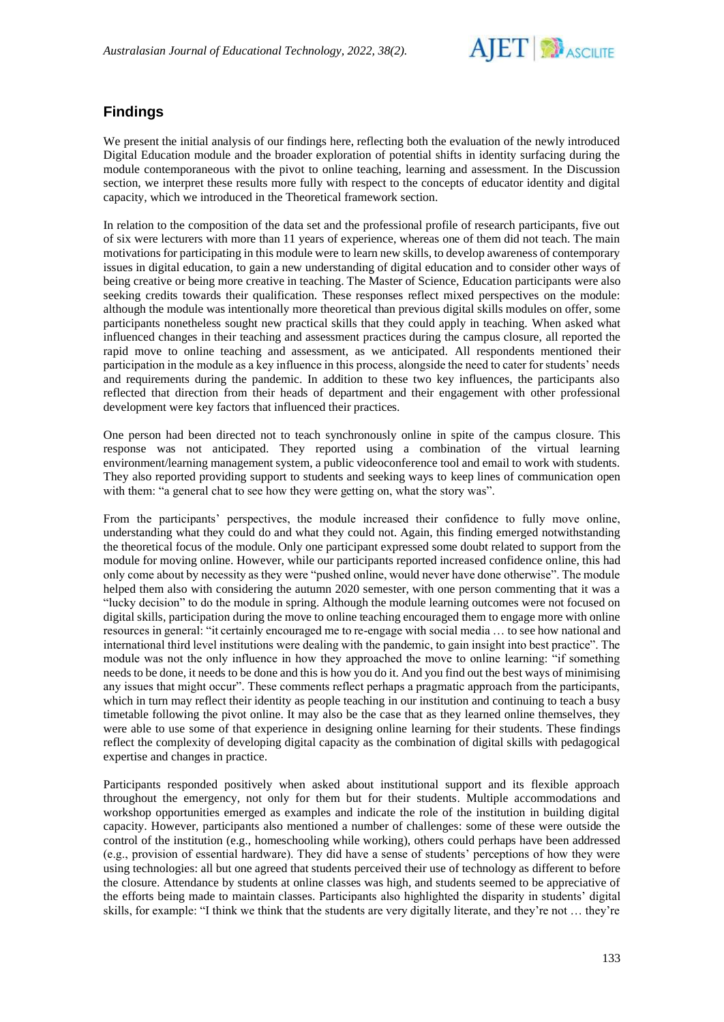

## **Findings**

We present the initial analysis of our findings here, reflecting both the evaluation of the newly introduced Digital Education module and the broader exploration of potential shifts in identity surfacing during the module contemporaneous with the pivot to online teaching, learning and assessment. In the Discussion section, we interpret these results more fully with respect to the concepts of educator identity and digital capacity, which we introduced in the Theoretical framework section.

In relation to the composition of the data set and the professional profile of research participants, five out of six were lecturers with more than 11 years of experience, whereas one of them did not teach. The main motivations for participating in this module were to learn new skills, to develop awareness of contemporary issues in digital education, to gain a new understanding of digital education and to consider other ways of being creative or being more creative in teaching. The Master of Science, Education participants were also seeking credits towards their qualification. These responses reflect mixed perspectives on the module: although the module was intentionally more theoretical than previous digital skills modules on offer, some participants nonetheless sought new practical skills that they could apply in teaching. When asked what influenced changes in their teaching and assessment practices during the campus closure, all reported the rapid move to online teaching and assessment, as we anticipated. All respondents mentioned their participation in the module as a key influence in this process, alongside the need to cater for students' needs and requirements during the pandemic. In addition to these two key influences, the participants also reflected that direction from their heads of department and their engagement with other professional development were key factors that influenced their practices.

One person had been directed not to teach synchronously online in spite of the campus closure. This response was not anticipated. They reported using a combination of the virtual learning environment/learning management system, a public videoconference tool and email to work with students. They also reported providing support to students and seeking ways to keep lines of communication open with them: "a general chat to see how they were getting on, what the story was".

From the participants' perspectives, the module increased their confidence to fully move online, understanding what they could do and what they could not. Again, this finding emerged notwithstanding the theoretical focus of the module. Only one participant expressed some doubt related to support from the module for moving online. However, while our participants reported increased confidence online, this had only come about by necessity as they were "pushed online, would never have done otherwise". The module helped them also with considering the autumn 2020 semester, with one person commenting that it was a "lucky decision" to do the module in spring. Although the module learning outcomes were not focused on digital skills, participation during the move to online teaching encouraged them to engage more with online resources in general: "it certainly encouraged me to re-engage with social media … to see how national and international third level institutions were dealing with the pandemic, to gain insight into best practice". The module was not the only influence in how they approached the move to online learning: "if something needs to be done, it needs to be done and this is how you do it. And you find out the best ways of minimising any issues that might occur". These comments reflect perhaps a pragmatic approach from the participants, which in turn may reflect their identity as people teaching in our institution and continuing to teach a busy timetable following the pivot online. It may also be the case that as they learned online themselves, they were able to use some of that experience in designing online learning for their students. These findings reflect the complexity of developing digital capacity as the combination of digital skills with pedagogical expertise and changes in practice.

Participants responded positively when asked about institutional support and its flexible approach throughout the emergency, not only for them but for their students. Multiple accommodations and workshop opportunities emerged as examples and indicate the role of the institution in building digital capacity. However, participants also mentioned a number of challenges: some of these were outside the control of the institution (e.g., homeschooling while working), others could perhaps have been addressed (e.g., provision of essential hardware). They did have a sense of students' perceptions of how they were using technologies: all but one agreed that students perceived their use of technology as different to before the closure. Attendance by students at online classes was high, and students seemed to be appreciative of the efforts being made to maintain classes. Participants also highlighted the disparity in students' digital skills, for example: "I think we think that the students are very digitally literate, and they're not … they're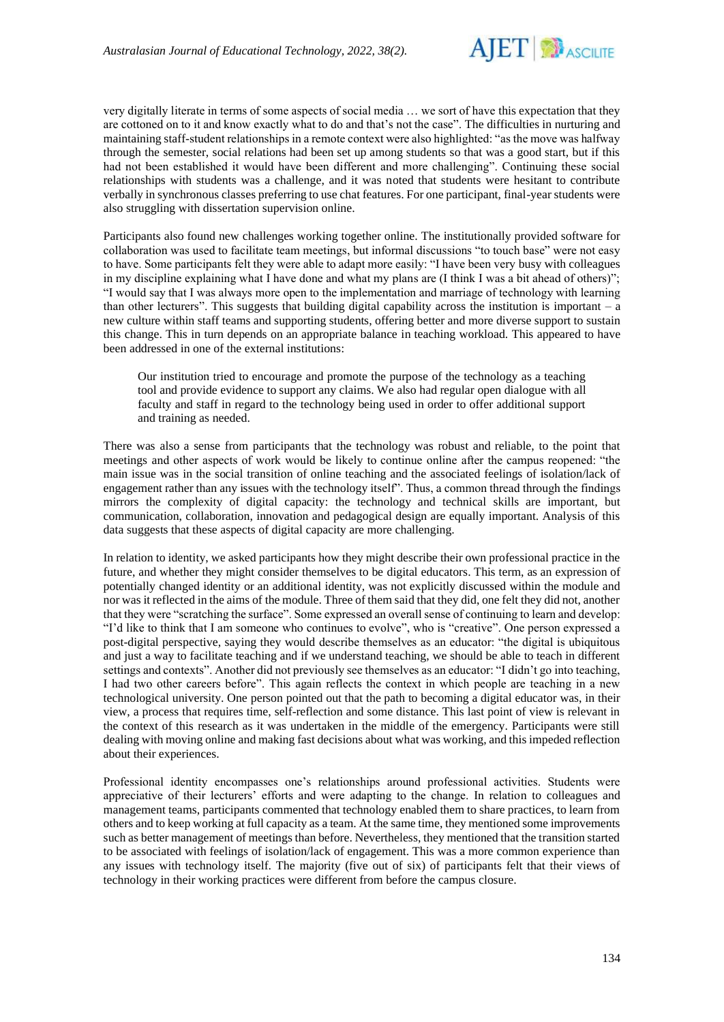

very digitally literate in terms of some aspects of social media … we sort of have this expectation that they are cottoned on to it and know exactly what to do and that's not the case". The difficulties in nurturing and maintaining staff-student relationships in a remote context were also highlighted: "as the move was halfway through the semester, social relations had been set up among students so that was a good start, but if this had not been established it would have been different and more challenging". Continuing these social relationships with students was a challenge, and it was noted that students were hesitant to contribute verbally in synchronous classes preferring to use chat features. For one participant, final-year students were also struggling with dissertation supervision online.

Participants also found new challenges working together online. The institutionally provided software for collaboration was used to facilitate team meetings, but informal discussions "to touch base" were not easy to have. Some participants felt they were able to adapt more easily: "I have been very busy with colleagues in my discipline explaining what I have done and what my plans are (I think I was a bit ahead of others)"; "I would say that I was always more open to the implementation and marriage of technology with learning than other lecturers". This suggests that building digital capability across the institution is important – a new culture within staff teams and supporting students, offering better and more diverse support to sustain this change. This in turn depends on an appropriate balance in teaching workload. This appeared to have been addressed in one of the external institutions:

Our institution tried to encourage and promote the purpose of the technology as a teaching tool and provide evidence to support any claims. We also had regular open dialogue with all faculty and staff in regard to the technology being used in order to offer additional support and training as needed.

There was also a sense from participants that the technology was robust and reliable, to the point that meetings and other aspects of work would be likely to continue online after the campus reopened: "the main issue was in the social transition of online teaching and the associated feelings of isolation/lack of engagement rather than any issues with the technology itself". Thus, a common thread through the findings mirrors the complexity of digital capacity: the technology and technical skills are important, but communication, collaboration, innovation and pedagogical design are equally important. Analysis of this data suggests that these aspects of digital capacity are more challenging.

In relation to identity, we asked participants how they might describe their own professional practice in the future, and whether they might consider themselves to be digital educators. This term, as an expression of potentially changed identity or an additional identity, was not explicitly discussed within the module and nor was it reflected in the aims of the module. Three of them said that they did, one felt they did not, another that they were "scratching the surface". Some expressed an overall sense of continuing to learn and develop: "I'd like to think that I am someone who continues to evolve", who is "creative". One person expressed a post-digital perspective, saying they would describe themselves as an educator: "the digital is ubiquitous and just a way to facilitate teaching and if we understand teaching, we should be able to teach in different settings and contexts". Another did not previously see themselves as an educator: "I didn't go into teaching, I had two other careers before". This again reflects the context in which people are teaching in a new technological university. One person pointed out that the path to becoming a digital educator was, in their view, a process that requires time, self-reflection and some distance. This last point of view is relevant in the context of this research as it was undertaken in the middle of the emergency. Participants were still dealing with moving online and making fast decisions about what was working, and this impeded reflection about their experiences.

Professional identity encompasses one's relationships around professional activities. Students were appreciative of their lecturers' efforts and were adapting to the change. In relation to colleagues and management teams, participants commented that technology enabled them to share practices, to learn from others and to keep working at full capacity as a team. At the same time, they mentioned some improvements such as better management of meetings than before. Nevertheless, they mentioned that the transition started to be associated with feelings of isolation/lack of engagement. This was a more common experience than any issues with technology itself. The majority (five out of six) of participants felt that their views of technology in their working practices were different from before the campus closure.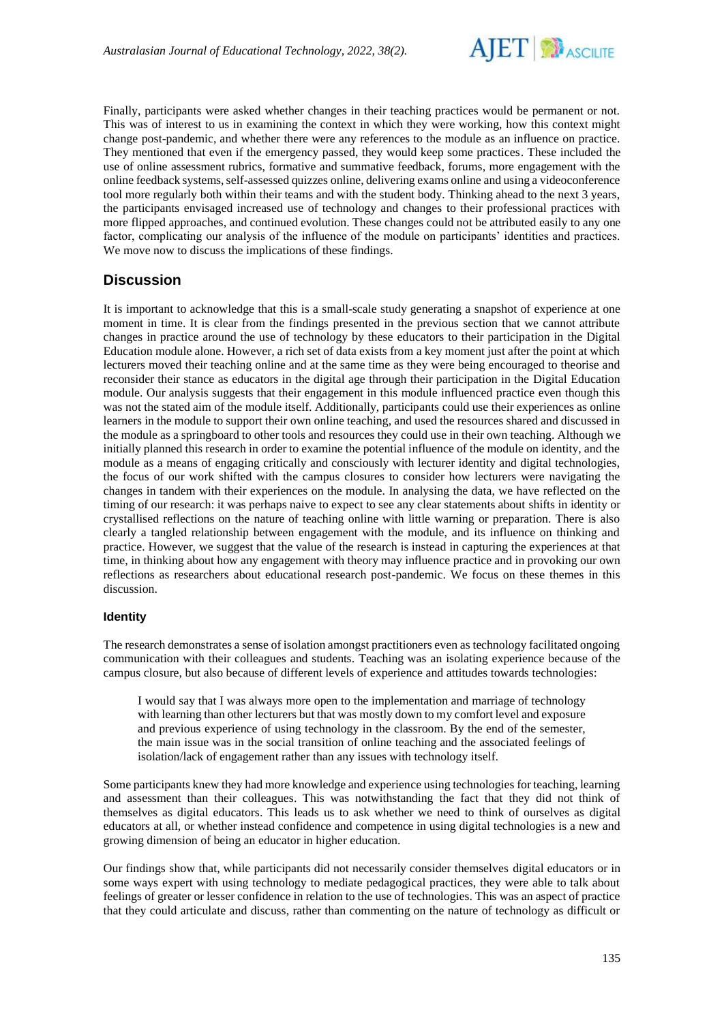

Finally, participants were asked whether changes in their teaching practices would be permanent or not. This was of interest to us in examining the context in which they were working, how this context might change post-pandemic, and whether there were any references to the module as an influence on practice. They mentioned that even if the emergency passed, they would keep some practices. These included the use of online assessment rubrics, formative and summative feedback, forums, more engagement with the online feedback systems, self-assessed quizzes online, delivering exams online and using a videoconference tool more regularly both within their teams and with the student body. Thinking ahead to the next 3 years, the participants envisaged increased use of technology and changes to their professional practices with more flipped approaches, and continued evolution. These changes could not be attributed easily to any one factor, complicating our analysis of the influence of the module on participants' identities and practices. We move now to discuss the implications of these findings.

## **Discussion**

It is important to acknowledge that this is a small-scale study generating a snapshot of experience at one moment in time. It is clear from the findings presented in the previous section that we cannot attribute changes in practice around the use of technology by these educators to their participation in the Digital Education module alone. However, a rich set of data exists from a key moment just after the point at which lecturers moved their teaching online and at the same time as they were being encouraged to theorise and reconsider their stance as educators in the digital age through their participation in the Digital Education module. Our analysis suggests that their engagement in this module influenced practice even though this was not the stated aim of the module itself. Additionally, participants could use their experiences as online learners in the module to support their own online teaching, and used the resources shared and discussed in the module as a springboard to other tools and resources they could use in their own teaching. Although we initially planned this research in order to examine the potential influence of the module on identity, and the module as a means of engaging critically and consciously with lecturer identity and digital technologies, the focus of our work shifted with the campus closures to consider how lecturers were navigating the changes in tandem with their experiences on the module. In analysing the data, we have reflected on the timing of our research: it was perhaps naive to expect to see any clear statements about shifts in identity or crystallised reflections on the nature of teaching online with little warning or preparation. There is also clearly a tangled relationship between engagement with the module, and its influence on thinking and practice. However, we suggest that the value of the research is instead in capturing the experiences at that time, in thinking about how any engagement with theory may influence practice and in provoking our own reflections as researchers about educational research post-pandemic. We focus on these themes in this discussion.

### **Identity**

The research demonstrates a sense of isolation amongst practitioners even as technology facilitated ongoing communication with their colleagues and students. Teaching was an isolating experience because of the campus closure, but also because of different levels of experience and attitudes towards technologies:

I would say that I was always more open to the implementation and marriage of technology with learning than other lecturers but that was mostly down to my comfort level and exposure and previous experience of using technology in the classroom. By the end of the semester, the main issue was in the social transition of online teaching and the associated feelings of isolation/lack of engagement rather than any issues with technology itself.

Some participants knew they had more knowledge and experience using technologies for teaching, learning and assessment than their colleagues. This was notwithstanding the fact that they did not think of themselves as digital educators. This leads us to ask whether we need to think of ourselves as digital educators at all, or whether instead confidence and competence in using digital technologies is a new and growing dimension of being an educator in higher education.

Our findings show that, while participants did not necessarily consider themselves digital educators or in some ways expert with using technology to mediate pedagogical practices, they were able to talk about feelings of greater or lesser confidence in relation to the use of technologies. This was an aspect of practice that they could articulate and discuss, rather than commenting on the nature of technology as difficult or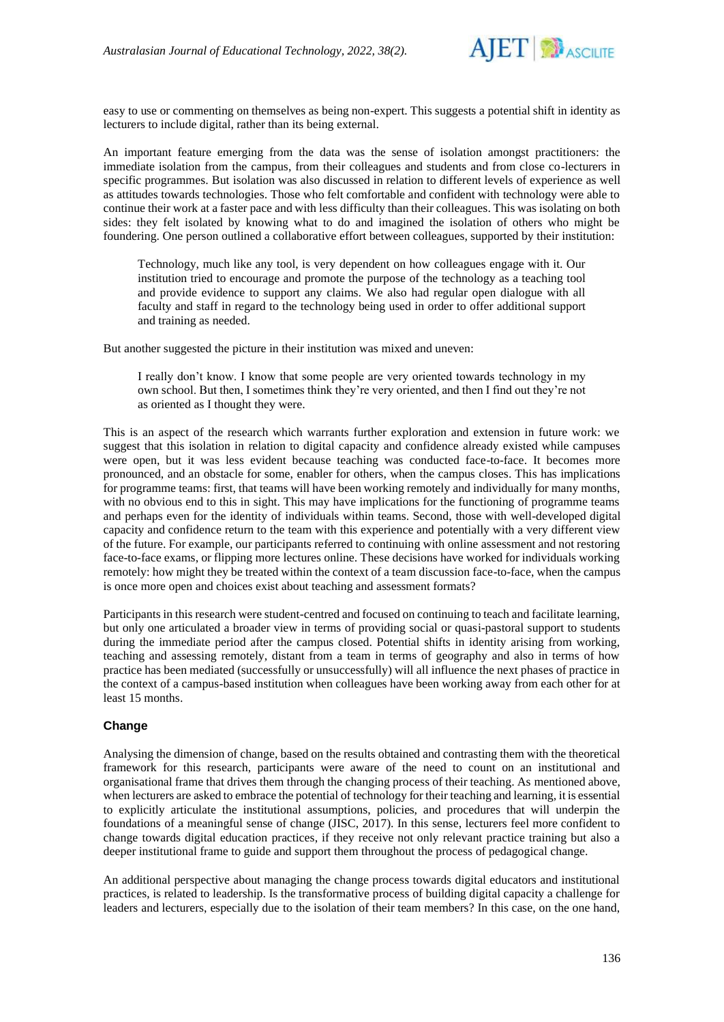

easy to use or commenting on themselves as being non-expert. This suggests a potential shift in identity as lecturers to include digital, rather than its being external.

An important feature emerging from the data was the sense of isolation amongst practitioners: the immediate isolation from the campus, from their colleagues and students and from close co-lecturers in specific programmes. But isolation was also discussed in relation to different levels of experience as well as attitudes towards technologies. Those who felt comfortable and confident with technology were able to continue their work at a faster pace and with less difficulty than their colleagues. This was isolating on both sides: they felt isolated by knowing what to do and imagined the isolation of others who might be foundering. One person outlined a collaborative effort between colleagues, supported by their institution:

Technology, much like any tool, is very dependent on how colleagues engage with it. Our institution tried to encourage and promote the purpose of the technology as a teaching tool and provide evidence to support any claims. We also had regular open dialogue with all faculty and staff in regard to the technology being used in order to offer additional support and training as needed.

But another suggested the picture in their institution was mixed and uneven:

I really don't know. I know that some people are very oriented towards technology in my own school. But then, I sometimes think they're very oriented, and then I find out they're not as oriented as I thought they were.

This is an aspect of the research which warrants further exploration and extension in future work: we suggest that this isolation in relation to digital capacity and confidence already existed while campuses were open, but it was less evident because teaching was conducted face-to-face. It becomes more pronounced, and an obstacle for some, enabler for others, when the campus closes. This has implications for programme teams: first, that teams will have been working remotely and individually for many months, with no obvious end to this in sight. This may have implications for the functioning of programme teams and perhaps even for the identity of individuals within teams. Second, those with well-developed digital capacity and confidence return to the team with this experience and potentially with a very different view of the future. For example, our participants referred to continuing with online assessment and not restoring face-to-face exams, or flipping more lectures online. These decisions have worked for individuals working remotely: how might they be treated within the context of a team discussion face-to-face, when the campus is once more open and choices exist about teaching and assessment formats?

Participants in this research were student-centred and focused on continuing to teach and facilitate learning, but only one articulated a broader view in terms of providing social or quasi-pastoral support to students during the immediate period after the campus closed. Potential shifts in identity arising from working, teaching and assessing remotely, distant from a team in terms of geography and also in terms of how practice has been mediated (successfully or unsuccessfully) will all influence the next phases of practice in the context of a campus-based institution when colleagues have been working away from each other for at least 15 months.

#### **Change**

Analysing the dimension of change, based on the results obtained and contrasting them with the theoretical framework for this research, participants were aware of the need to count on an institutional and organisational frame that drives them through the changing process of their teaching. As mentioned above, when lecturers are asked to embrace the potential of technology for their teaching and learning, it is essential to explicitly articulate the institutional assumptions, policies, and procedures that will underpin the foundations of a meaningful sense of change (JISC, 2017). In this sense, lecturers feel more confident to change towards digital education practices, if they receive not only relevant practice training but also a deeper institutional frame to guide and support them throughout the process of pedagogical change.

An additional perspective about managing the change process towards digital educators and institutional practices, is related to leadership. Is the transformative process of building digital capacity a challenge for leaders and lecturers, especially due to the isolation of their team members? In this case, on the one hand,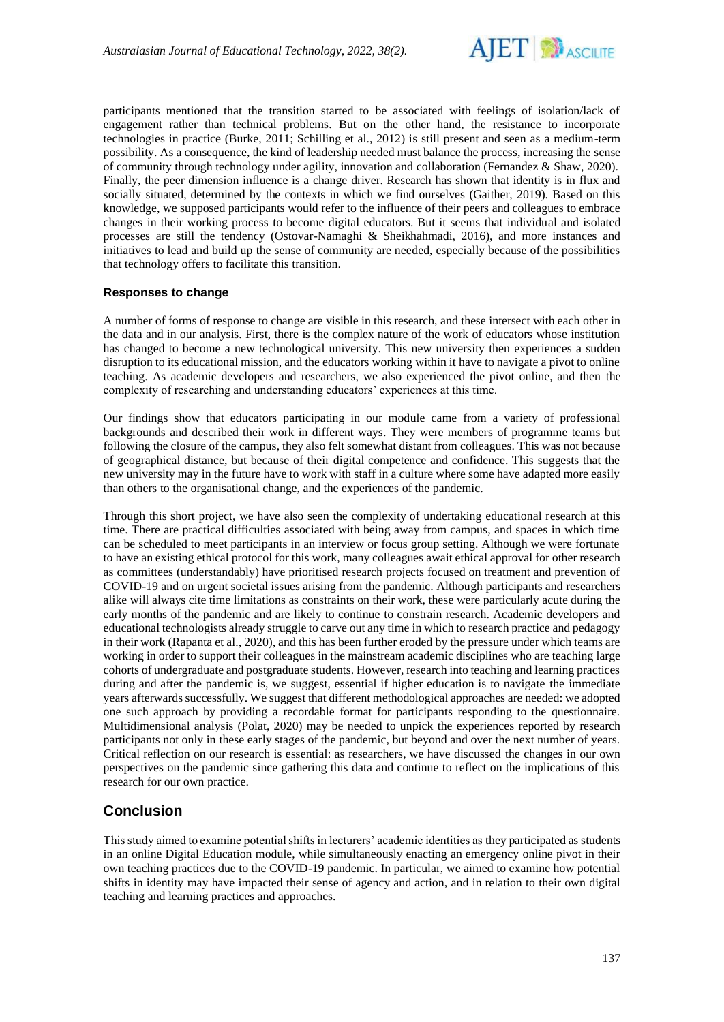

participants mentioned that the transition started to be associated with feelings of isolation/lack of engagement rather than technical problems. But on the other hand, the resistance to incorporate technologies in practice (Burke, 2011; Schilling et al., 2012) is still present and seen as a medium-term possibility. As a consequence, the kind of leadership needed must balance the process, increasing the sense of community through technology under agility, innovation and collaboration (Fernandez & Shaw, 2020). Finally, the peer dimension influence is a change driver. Research has shown that identity is in flux and socially situated, determined by the contexts in which we find ourselves (Gaither, 2019). Based on this knowledge, we supposed participants would refer to the influence of their peers and colleagues to embrace changes in their working process to become digital educators. But it seems that individual and isolated processes are still the tendency (Ostovar-Namaghi & Sheikhahmadi, 2016), and more instances and initiatives to lead and build up the sense of community are needed, especially because of the possibilities that technology offers to facilitate this transition.

### **Responses to change**

A number of forms of response to change are visible in this research, and these intersect with each other in the data and in our analysis. First, there is the complex nature of the work of educators whose institution has changed to become a new technological university. This new university then experiences a sudden disruption to its educational mission, and the educators working within it have to navigate a pivot to online teaching. As academic developers and researchers, we also experienced the pivot online, and then the complexity of researching and understanding educators' experiences at this time.

Our findings show that educators participating in our module came from a variety of professional backgrounds and described their work in different ways. They were members of programme teams but following the closure of the campus, they also felt somewhat distant from colleagues. This was not because of geographical distance, but because of their digital competence and confidence. This suggests that the new university may in the future have to work with staff in a culture where some have adapted more easily than others to the organisational change, and the experiences of the pandemic.

Through this short project, we have also seen the complexity of undertaking educational research at this time. There are practical difficulties associated with being away from campus, and spaces in which time can be scheduled to meet participants in an interview or focus group setting. Although we were fortunate to have an existing ethical protocol for this work, many colleagues await ethical approval for other research as committees (understandably) have prioritised research projects focused on treatment and prevention of COVID-19 and on urgent societal issues arising from the pandemic. Although participants and researchers alike will always cite time limitations as constraints on their work, these were particularly acute during the early months of the pandemic and are likely to continue to constrain research. Academic developers and educational technologists already struggle to carve out any time in which to research practice and pedagogy in their work (Rapanta et al., 2020), and this has been further eroded by the pressure under which teams are working in order to support their colleagues in the mainstream academic disciplines who are teaching large cohorts of undergraduate and postgraduate students. However, research into teaching and learning practices during and after the pandemic is, we suggest, essential if higher education is to navigate the immediate years afterwards successfully. We suggest that different methodological approaches are needed: we adopted one such approach by providing a recordable format for participants responding to the questionnaire. Multidimensional analysis (Polat, 2020) may be needed to unpick the experiences reported by research participants not only in these early stages of the pandemic, but beyond and over the next number of years. Critical reflection on our research is essential: as researchers, we have discussed the changes in our own perspectives on the pandemic since gathering this data and continue to reflect on the implications of this research for our own practice.

## **Conclusion**

This study aimed to examine potential shifts in lecturers' academic identities as they participated as students in an online Digital Education module, while simultaneously enacting an emergency online pivot in their own teaching practices due to the COVID-19 pandemic. In particular, we aimed to examine how potential shifts in identity may have impacted their sense of agency and action, and in relation to their own digital teaching and learning practices and approaches.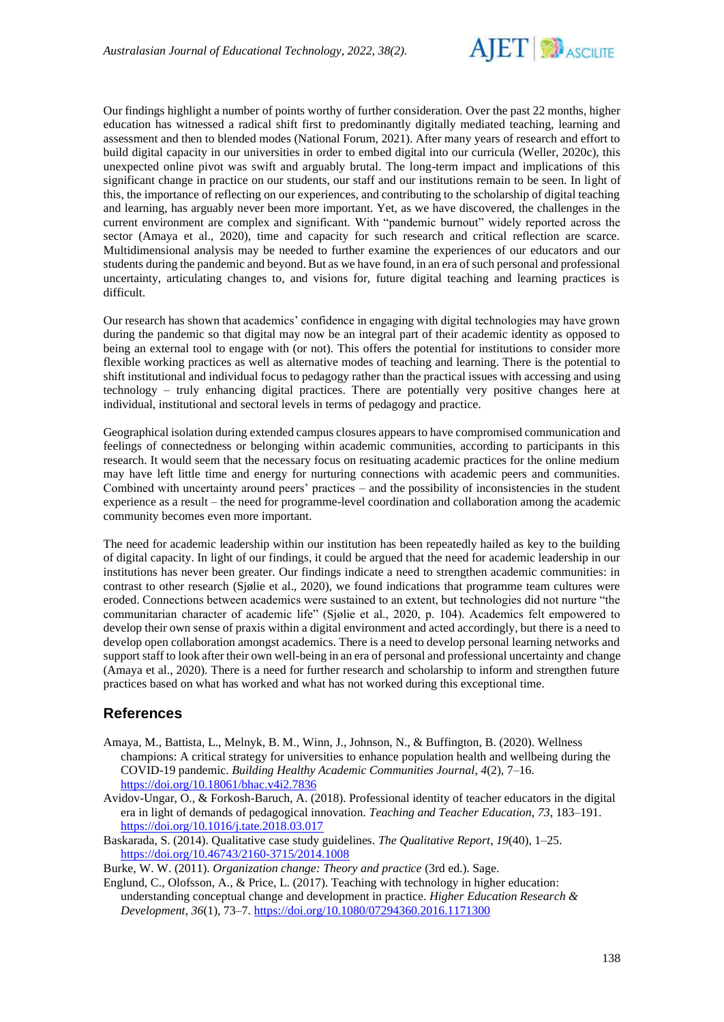

Our findings highlight a number of points worthy of further consideration. Over the past 22 months, higher education has witnessed a radical shift first to predominantly digitally mediated teaching, learning and assessment and then to blended modes (National Forum, 2021). After many years of research and effort to build digital capacity in our universities in order to embed digital into our curricula (Weller, 2020c), this unexpected online pivot was swift and arguably brutal. The long-term impact and implications of this significant change in practice on our students, our staff and our institutions remain to be seen. In light of this, the importance of reflecting on our experiences, and contributing to the scholarship of digital teaching and learning, has arguably never been more important. Yet, as we have discovered, the challenges in the current environment are complex and significant. With "pandemic burnout" widely reported across the sector (Amaya et al., 2020), time and capacity for such research and critical reflection are scarce. Multidimensional analysis may be needed to further examine the experiences of our educators and our students during the pandemic and beyond. But as we have found, in an era of such personal and professional uncertainty, articulating changes to, and visions for, future digital teaching and learning practices is difficult.

Our research has shown that academics' confidence in engaging with digital technologies may have grown during the pandemic so that digital may now be an integral part of their academic identity as opposed to being an external tool to engage with (or not). This offers the potential for institutions to consider more flexible working practices as well as alternative modes of teaching and learning. There is the potential to shift institutional and individual focus to pedagogy rather than the practical issues with accessing and using technology – truly enhancing digital practices. There are potentially very positive changes here at individual, institutional and sectoral levels in terms of pedagogy and practice.

Geographical isolation during extended campus closures appears to have compromised communication and feelings of connectedness or belonging within academic communities, according to participants in this research. It would seem that the necessary focus on resituating academic practices for the online medium may have left little time and energy for nurturing connections with academic peers and communities. Combined with uncertainty around peers' practices – and the possibility of inconsistencies in the student experience as a result – the need for programme-level coordination and collaboration among the academic community becomes even more important.

The need for academic leadership within our institution has been repeatedly hailed as key to the building of digital capacity. In light of our findings, it could be argued that the need for academic leadership in our institutions has never been greater. Our findings indicate a need to strengthen academic communities: in contrast to other research (Sjølie et al., 2020), we found indications that programme team cultures were eroded. Connections between academics were sustained to an extent, but technologies did not nurture "the communitarian character of academic life" (Sjølie et al., 2020, p. 104). Academics felt empowered to develop their own sense of praxis within a digital environment and acted accordingly, but there is a need to develop open collaboration amongst academics. There is a need to develop personal learning networks and support staff to look after their own well-being in an era of personal and professional uncertainty and change (Amaya et al., 2020). There is a need for further research and scholarship to inform and strengthen future practices based on what has worked and what has not worked during this exceptional time.

## **References**

- Amaya, M., Battista, L., Melnyk, B. M., Winn, J., Johnson, N., & Buffington, B. (2020). Wellness champions: A critical strategy for universities to enhance population health and wellbeing during the COVID-19 pandemic. *Building Healthy Academic Communities Journal*, *4*(2), 7–16. <https://doi.org/10.18061/bhac.v4i2.7836>
- Avidov-Ungar, O., & Forkosh-Baruch, A. (2018). Professional identity of teacher educators in the digital era in light of demands of pedagogical innovation. *Teaching and Teacher Education*, *73*, 183–191. <https://doi.org/10.1016/j.tate.2018.03.017>
- Baskarada, S. (2014). Qualitative case study guidelines. *The Qualitative Report*, *19*(40), 1–25. <https://doi.org/10.46743/2160-3715/2014.1008>

Burke, W. W. (2011). *Organization change: Theory and practice* (3rd ed.). Sage.

Englund, C., Olofsson, A., & Price, L. (2017). Teaching with technology in higher education: understanding conceptual change and development in practice. *Higher Education Research & Development*, *36*(1), 73–7[. https://doi.org/10.1080/07294360.2016.1171300](https://doi.org/10.1080/07294360.2016.1171300)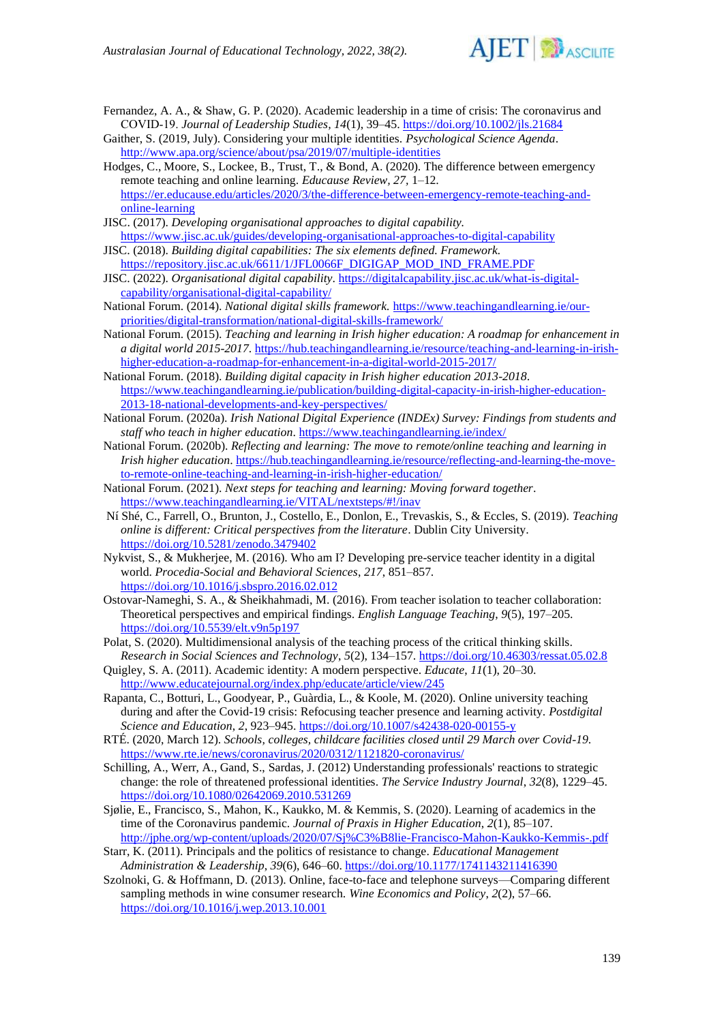

Fernandez, A. A., & Shaw, G. P. (2020). Academic leadership in a time of crisis: The coronavirus and COVID‐19. *Journal of Leadership Studies, 14*(1), 39–45.<https://doi.org/10.1002/jls.21684>

Gaither, S. (2019, July). Considering your multiple identities. *Psychological Science Agenda*. <http://www.apa.org/science/about/psa/2019/07/multiple-identities>

- Hodges, C., Moore, S., Lockee, B., Trust, T., & Bond, A. (2020). The difference between emergency remote teaching and online learning. *Educause Review, 27,* 1–12. [https://er.educause.edu/articles/2020/3/the-difference-between-emergency-remote-teaching-and](https://er.educause.edu/articles/2020/3/the-difference-between-emergency-remote-teaching-and-online-learning)[online-learning](https://er.educause.edu/articles/2020/3/the-difference-between-emergency-remote-teaching-and-online-learning)
- JISC. (2017). *Developing organisational approaches to digital capability.* <https://www.jisc.ac.uk/guides/developing-organisational-approaches-to-digital-capability>
- JISC. (2018). *Building digital capabilities: The six elements defined. Framework.* [https://repository.jisc.ac.uk/6611/1/JFL0066F\\_DIGIGAP\\_MOD\\_IND\\_FRAME.PDF](https://repository.jisc.ac.uk/6611/1/JFL0066F_DIGIGAP_MOD_IND_FRAME.PDF)
- JISC. (2022). *Organisational digital capability*. [https://digitalcapability.jisc.ac.uk/what-is-digital](https://digitalcapability.jisc.ac.uk/what-is-digital-capability/organisational-digital-capability/)[capability/organisational-digital-capability/](https://digitalcapability.jisc.ac.uk/what-is-digital-capability/organisational-digital-capability/)
- National Forum. (2014). *National digital skills framework.* [https://www.teachingandlearning.ie/our](https://www.teachingandlearning.ie/our-priorities/digital-transformation/national-digital-skills-framework/)[priorities/digital-transformation/national-digital-skills-framework/](https://www.teachingandlearning.ie/our-priorities/digital-transformation/national-digital-skills-framework/)
- National Forum. (2015). *Teaching and learning in Irish higher education: A roadmap for enhancement in a digital world 2015-2017*[. https://hub.teachingandlearning.ie/resource/teaching-and-learning-in-irish](https://hub.teachingandlearning.ie/resource/teaching-and-learning-in-irish-higher-education-a-roadmap-for-enhancement-in-a-digital-world-2015-2017/)[higher-education-a-roadmap-for-enhancement-in-a-digital-world-2015-2017/](https://hub.teachingandlearning.ie/resource/teaching-and-learning-in-irish-higher-education-a-roadmap-for-enhancement-in-a-digital-world-2015-2017/)

National Forum. (2018). *Building digital capacity in Irish higher education 2013-2018*. [https://www.teachingandlearning.ie/publication/building-digital-capacity-in-irish-higher-education-](https://www.teachingandlearning.ie/publication/building-digital-capacity-in-irish-higher-education-2013-18-national-developments-and-key-perspectives/)[2013-18-national-developments-and-key-perspectives/](https://www.teachingandlearning.ie/publication/building-digital-capacity-in-irish-higher-education-2013-18-national-developments-and-key-perspectives/)

- National Forum. (2020a). *Irish National Digital Experience (INDEx) Survey: Findings from students and staff who teach in higher education*[. https://www.teachingandlearning.ie/index/](https://www.teachingandlearning.ie/index/)
- National Forum. (2020b). *Reflecting and learning: The move to remote/online teaching and learning in Irish higher education*[. https://hub.teachingandlearning.ie/resource/reflecting-and-learning-the-move](https://hub.teachingandlearning.ie/resource/reflecting-and-learning-the-move-to-remote-online-teaching-and-learning-in-irish-higher-education/)[to-remote-online-teaching-and-learning-in-irish-higher-education/](https://hub.teachingandlearning.ie/resource/reflecting-and-learning-the-move-to-remote-online-teaching-and-learning-in-irish-higher-education/)
- National Forum. (2021). *Next steps for teaching and learning: Moving forward together*. <https://www.teachingandlearning.ie/VITAL/nextsteps/#!/inav>
- Ní Shé, C., Farrell, O., Brunton, J., Costello, E., Donlon, E., Trevaskis, S., & Eccles, S. (2019). *Teaching online is different: Critical perspectives from the literature*. Dublin City University. <https://doi.org/10.5281/zenodo.3479402>
- Nykvist, S., & Mukherjee, M. (2016). Who am I? Developing pre-service teacher identity in a digital world. *Procedia-Social and Behavioral Sciences*, *217*, 851–857. <https://doi.org/10.1016/j.sbspro.2016.02.012>
- Ostovar-Nameghi, S. A., & Sheikhahmadi, M. (2016). From teacher isolation to teacher collaboration: Theoretical perspectives and empirical findings. *English Language Teaching*, *9*(5), 197–205. <https://doi.org/10.5539/elt.v9n5p197>
- Polat, S. (2020). Multidimensional analysis of the teaching process of the critical thinking skills. *Research in Social Sciences and Technology*, *5*(2), 134–157[. https://doi.org/10.46303/ressat.05.02.8](https://doi.org/10.46303/ressat.05.02.8)
- Quigley, S. A. (2011). Academic identity: A modern perspective. *Educate*, *11*(1), 20–30. <http://www.educatejournal.org/index.php/educate/article/view/245>
- Rapanta, C., Botturi, L., Goodyear, P., Guàrdia, L., & Koole, M. (2020). Online university teaching during and after the Covid-19 crisis: Refocusing teacher presence and learning activity. *Postdigital Science and Education*, *2*, 923–945.<https://doi.org/10.1007/s42438-020-00155-y>
- RTÉ. (2020, March 12). *Schools, colleges, childcare facilities closed until 29 March over Covid-19*. <https://www.rte.ie/news/coronavirus/2020/0312/1121820-coronavirus/>
- Schilling, A., Werr, A., Gand, S., Sardas, J. (2012) Understanding professionals' reactions to strategic change: the role of threatened professional identities. *The Service Industry Journal*, *32*(8), 1229–45. <https://doi.org/10.1080/02642069.2010.531269>
- Sjølie, E., Francisco, S., Mahon, K., Kaukko, M. & Kemmis, S. (2020). Learning of academics in the time of the Coronavirus pandemic. *Journal of Praxis in Higher Education*, *2*(1), 85–107. <http://jphe.org/wp-content/uploads/2020/07/Sj%C3%B8lie-Francisco-Mahon-Kaukko-Kemmis-.pdf>
- Starr, K. (2011). Principals and the politics of resistance to change. *Educational Management Administration & Leadership*, *39*(6), 646–60[. https://doi.org/10.1177/1741143211416390](https://doi.org/10.1177/1741143211416390)
- Szolnoki, G. & Hoffmann, D. (2013). Online, face-to-face and telephone surveys—Comparing different sampling methods in wine consumer research. *Wine Economics and Policy*, *2*(2), 57–66. <https://doi.org/10.1016/j.wep.2013.10.001>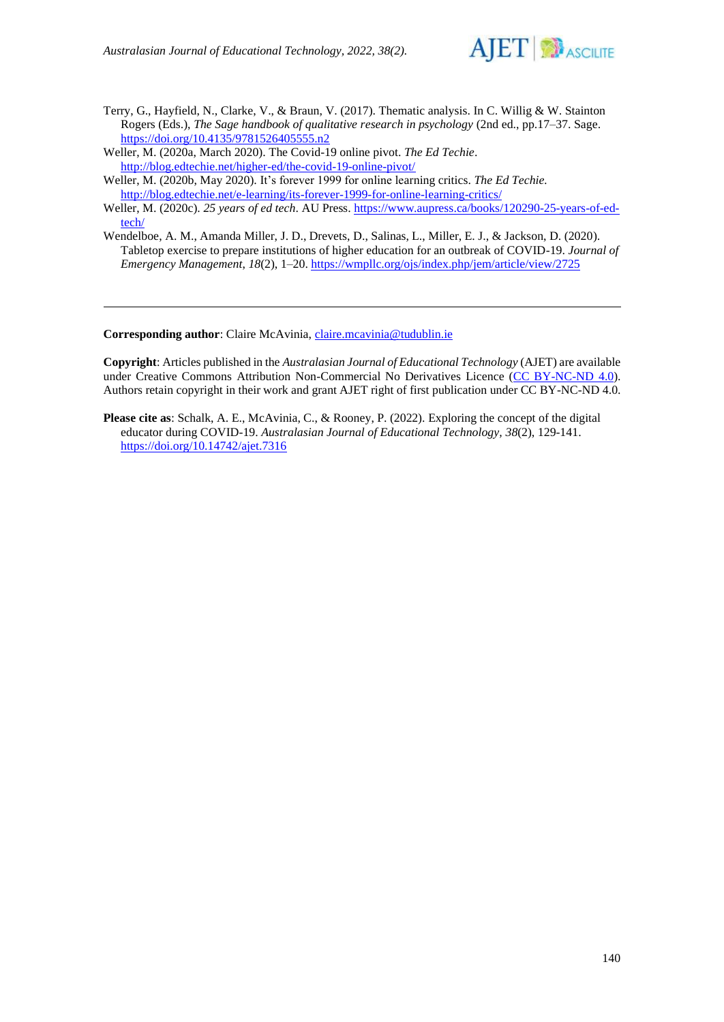

- Terry, G., Hayfield, N., Clarke, V., & Braun, V. (2017). Thematic analysis. In C. Willig & W. Stainton Rogers (Eds.), *The Sage handbook of qualitative research in psychology* (2nd ed., pp.17–37. Sage. <https://doi.org/10.4135/9781526405555.n2>
- Weller, M. (2020a, March 2020). The Covid-19 online pivot. *The Ed Techie*. <http://blog.edtechie.net/higher-ed/the-covid-19-online-pivot/>
- Weller, M. (2020b, May 2020). It's forever 1999 for online learning critics. *The Ed Techie.* <http://blog.edtechie.net/e-learning/its-forever-1999-for-online-learning-critics/>
- Weller, M. (2020c). *25 years of ed tech*. AU Press. [https://www.aupress.ca/books/120290-25-years-of-ed](https://www.aupress.ca/books/120290-25-years-of-ed-tech/)[tech/](https://www.aupress.ca/books/120290-25-years-of-ed-tech/)
- Wendelboe, A. M., Amanda Miller, J. D., Drevets, D., Salinas, L., Miller, E. J., & Jackson, D. (2020). Tabletop exercise to prepare institutions of higher education for an outbreak of COVID-19. *Journal of Emergency Management*, *18*(2), 1–20[. https://wmpllc.org/ojs/index.php/jem/article/view/2725](https://wmpllc.org/ojs/index.php/jem/article/view/2725)

**Corresponding author**: Claire McAvinia[, claire.mcavinia@tudublin.ie](mailto:claire.mcavinia@tudublin.ie)

**Copyright**: Articles published in the *Australasian Journal of Educational Technology* (AJET) are available under Creative Commons Attribution Non-Commercial No Derivatives Licence [\(CC BY-NC-ND 4.0\)](https://creativecommons.org/licenses/by-nc-nd/4.0/). Authors retain copyright in their work and grant AJET right of first publication under CC BY-NC-ND 4.0.

**Please cite as**: Schalk, A. E., McAvinia, C., & Rooney, P. (2022). Exploring the concept of the digital educator during COVID-19. *Australasian Journal of Educational Technology, 38*(2), 129-141. <https://doi.org/10.14742/ajet.7316>